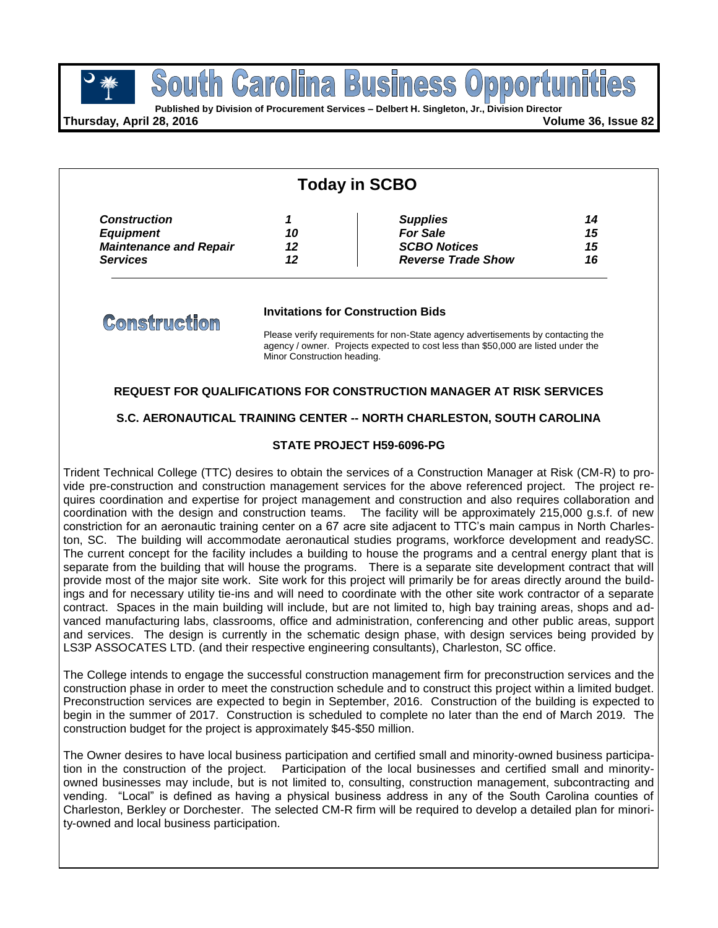

pport **Published by Division of Procurement Services – Delbert H. Singleton, Jr., Division Director**

 $|B \rangle |$ 

**Inna** 

**Thursday, April 28, 2016 Volume 36, Issue 82**

| <b>Supplies</b><br><b>For Sale</b><br><b>SCBO Notices</b><br><b>Reverse Trade Show</b><br><b>Invitations for Construction Bids</b><br>Please verify requirements for non-State agency advertisements by contacting the | 14<br>15<br>15<br>16                                                                                                                                                                                                                                                                                                                  |
|------------------------------------------------------------------------------------------------------------------------------------------------------------------------------------------------------------------------|---------------------------------------------------------------------------------------------------------------------------------------------------------------------------------------------------------------------------------------------------------------------------------------------------------------------------------------|
|                                                                                                                                                                                                                        |                                                                                                                                                                                                                                                                                                                                       |
|                                                                                                                                                                                                                        |                                                                                                                                                                                                                                                                                                                                       |
|                                                                                                                                                                                                                        |                                                                                                                                                                                                                                                                                                                                       |
| agency / owner. Projects expected to cost less than \$50,000 are listed under the                                                                                                                                      |                                                                                                                                                                                                                                                                                                                                       |
| <b>REQUEST FOR QUALIFICATIONS FOR CONSTRUCTION MANAGER AT RISK SERVICES</b>                                                                                                                                            |                                                                                                                                                                                                                                                                                                                                       |
|                                                                                                                                                                                                                        |                                                                                                                                                                                                                                                                                                                                       |
|                                                                                                                                                                                                                        |                                                                                                                                                                                                                                                                                                                                       |
|                                                                                                                                                                                                                        | S.C. AERONAUTICAL TRAINING CENTER -- NORTH CHARLESTON, SOUTH CAROLINA<br>STATE PROJECT H59-6096-PG<br>Trident Technical College (TTC) desires to obtain the services of a Construction Manager at Risk (CM-R) to pro-<br>vide pre-construction and construction management services for the above referenced project. The project re- |

vide pre-construction and construction management services for the above referenced project. The project requires coordination and expertise for project management and construction and also requires collaboration and coordination with the design and construction teams. The facility will be approximately 215,000 g.s.f. of new constriction for an aeronautic training center on a 67 acre site adjacent to TTC's main campus in North Charleston, SC. The building will accommodate aeronautical studies programs, workforce development and readySC. The current concept for the facility includes a building to house the programs and a central energy plant that is separate from the building that will house the programs. There is a separate site development contract that will provide most of the major site work. Site work for this project will primarily be for areas directly around the buildings and for necessary utility tie-ins and will need to coordinate with the other site work contractor of a separate contract. Spaces in the main building will include, but are not limited to, high bay training areas, shops and advanced manufacturing labs, classrooms, office and administration, conferencing and other public areas, support and services. The design is currently in the schematic design phase, with design services being provided by LS3P ASSOCATES LTD. (and their respective engineering consultants), Charleston, SC office.

The College intends to engage the successful construction management firm for preconstruction services and the construction phase in order to meet the construction schedule and to construct this project within a limited budget. Preconstruction services are expected to begin in September, 2016. Construction of the building is expected to begin in the summer of 2017. Construction is scheduled to complete no later than the end of March 2019. The construction budget for the project is approximately \$45-\$50 million.

The Owner desires to have local business participation and certified small and minority-owned business participation in the construction of the project. Participation of the local businesses and certified small and minorityowned businesses may include, but is not limited to, consulting, construction management, subcontracting and vending. "Local" is defined as having a physical business address in any of the South Carolina counties of Charleston, Berkley or Dorchester. The selected CM-R firm will be required to develop a detailed plan for minority-owned and local business participation.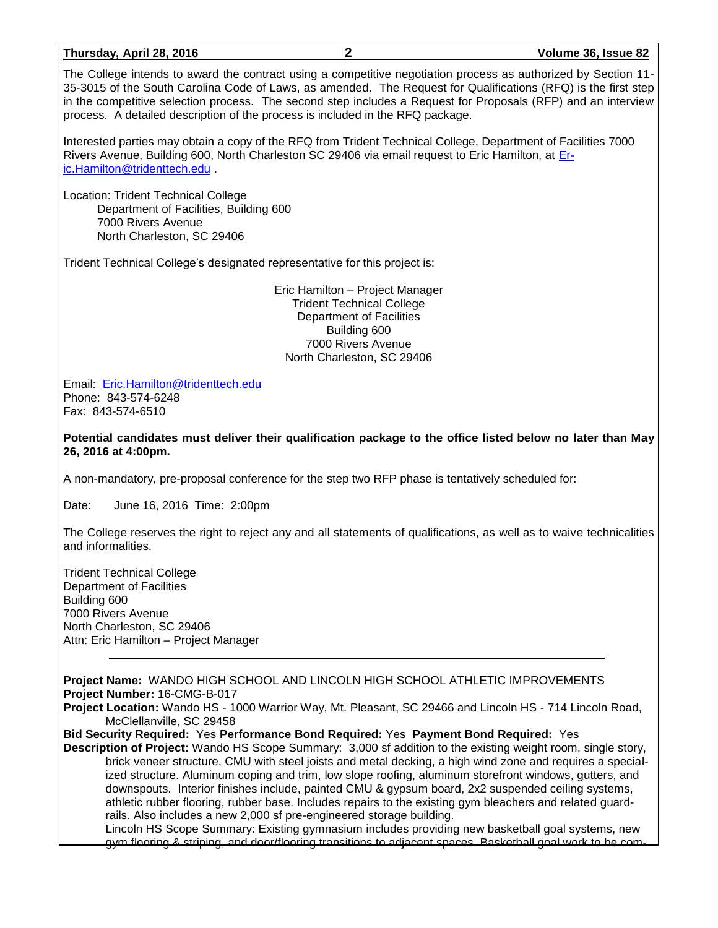| Thursday, April 28, 2016                                                                                                                                                                                                          | 2                                                                                                                                                                          | Volume 36, Issue 82                                                                                                                                                                                                                                                                                                                               |
|-----------------------------------------------------------------------------------------------------------------------------------------------------------------------------------------------------------------------------------|----------------------------------------------------------------------------------------------------------------------------------------------------------------------------|---------------------------------------------------------------------------------------------------------------------------------------------------------------------------------------------------------------------------------------------------------------------------------------------------------------------------------------------------|
| process. A detailed description of the process is included in the RFQ package.                                                                                                                                                    |                                                                                                                                                                            | The College intends to award the contract using a competitive negotiation process as authorized by Section 11-<br>35-3015 of the South Carolina Code of Laws, as amended. The Request for Qualifications (RFQ) is the first step<br>in the competitive selection process. The second step includes a Request for Proposals (RFP) and an interview |
| Rivers Avenue, Building 600, North Charleston SC 29406 via email request to Eric Hamilton, at Er-<br>ic.Hamilton@tridenttech.edu                                                                                                  |                                                                                                                                                                            | Interested parties may obtain a copy of the RFQ from Trident Technical College, Department of Facilities 7000                                                                                                                                                                                                                                     |
| Location: Trident Technical College<br>Department of Facilities, Building 600<br>7000 Rivers Avenue<br>North Charleston, SC 29406                                                                                                 |                                                                                                                                                                            |                                                                                                                                                                                                                                                                                                                                                   |
| Trident Technical College's designated representative for this project is:                                                                                                                                                        |                                                                                                                                                                            |                                                                                                                                                                                                                                                                                                                                                   |
|                                                                                                                                                                                                                                   | Eric Hamilton - Project Manager<br><b>Trident Technical College</b><br><b>Department of Facilities</b><br>Building 600<br>7000 Rivers Avenue<br>North Charleston, SC 29406 |                                                                                                                                                                                                                                                                                                                                                   |
| Email: Eric.Hamilton@tridenttech.edu<br>Phone: 843-574-6248<br>Fax: 843-574-6510                                                                                                                                                  |                                                                                                                                                                            |                                                                                                                                                                                                                                                                                                                                                   |
| 26, 2016 at 4:00pm.                                                                                                                                                                                                               |                                                                                                                                                                            | Potential candidates must deliver their qualification package to the office listed below no later than May                                                                                                                                                                                                                                        |
| A non-mandatory, pre-proposal conference for the step two RFP phase is tentatively scheduled for:                                                                                                                                 |                                                                                                                                                                            |                                                                                                                                                                                                                                                                                                                                                   |
| June 16, 2016 Time: 2:00pm<br>Date:                                                                                                                                                                                               |                                                                                                                                                                            |                                                                                                                                                                                                                                                                                                                                                   |
| and informalities.                                                                                                                                                                                                                |                                                                                                                                                                            | The College reserves the right to reject any and all statements of qualifications, as well as to waive technicalities                                                                                                                                                                                                                             |
| <b>Trident Technical College</b><br><b>Department of Facilities</b><br>Building 600<br>7000 Rivers Avenue<br>North Charleston, SC 29406<br>Attn: Eric Hamilton - Project Manager                                                  |                                                                                                                                                                            |                                                                                                                                                                                                                                                                                                                                                   |
| Project Name: WANDO HIGH SCHOOL AND LINCOLN HIGH SCHOOL ATHLETIC IMPROVEMENTS<br>Project Number: 16-CMG-B-017<br>McClellanville, SC 29458<br>Bid Security Required: Yes Performance Bond Required: Yes Payment Bond Required: Yes |                                                                                                                                                                            | Project Location: Wando HS - 1000 Warrior Way, Mt. Pleasant, SC 29466 and Lincoln HS - 714 Lincoln Road,<br>Description of Project: Wando HS Scope Summary: 3,000 sf addition to the existing weight room, single story,                                                                                                                          |

brick veneer structure, CMU with steel joists and metal decking, a high wind zone and requires a specialized structure. Aluminum coping and trim, low slope roofing, aluminum storefront windows, gutters, and downspouts. Interior finishes include, painted CMU & gypsum board, 2x2 suspended ceiling systems, athletic rubber flooring, rubber base. Includes repairs to the existing gym bleachers and related guardrails. Also includes a new 2,000 sf pre-engineered storage building.

Lincoln HS Scope Summary: Existing gymnasium includes providing new basketball goal systems, new gym flooring & striping, and door/flooring transitions to adjacent spaces. Basketball goal work to be com-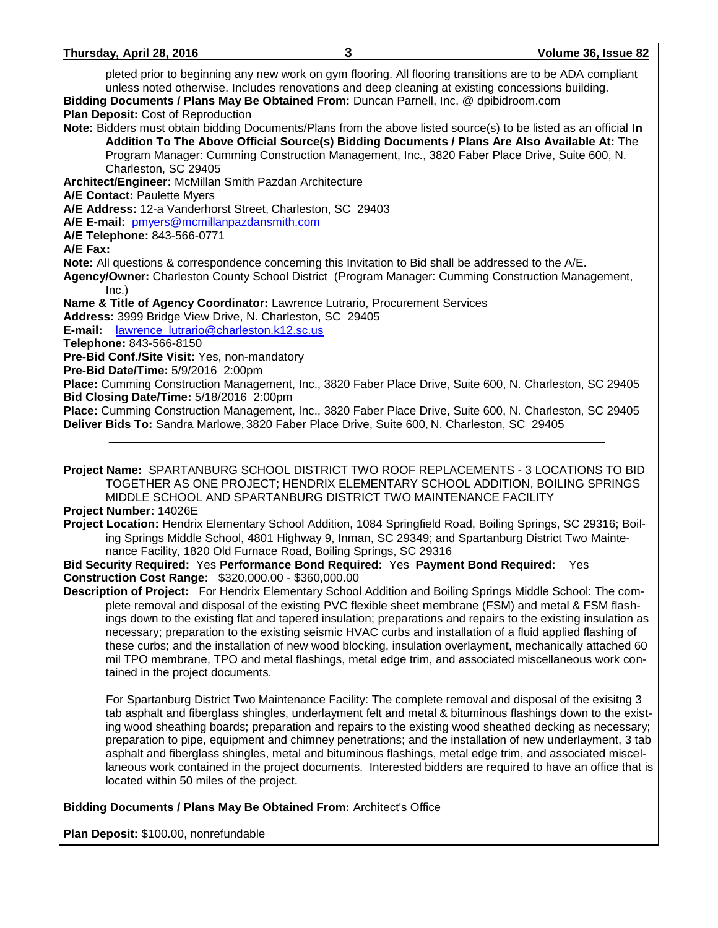| Thursday, April 28, 2016<br>Volume 36, Issue 82 |  |
|-------------------------------------------------|--|
|-------------------------------------------------|--|

pleted prior to beginning any new work on gym flooring. All flooring transitions are to be ADA compliant unless noted otherwise. Includes renovations and deep cleaning at existing concessions building. **Bidding Documents / Plans May Be Obtained From:** Duncan Parnell, Inc. @ dpibidroom.com **Plan Deposit:** Cost of Reproduction **Note:** Bidders must obtain bidding Documents/Plans from the above listed source(s) to be listed as an official **In Addition To The Above Official Source(s) Bidding Documents / Plans Are Also Available At:** The Program Manager: Cumming Construction Management, Inc., 3820 Faber Place Drive, Suite 600, N. Charleston, SC 29405 **Architect/Engineer:** McMillan Smith Pazdan Architecture **A/E Contact:** Paulette Myers **A/E Address:** 12-a Vanderhorst Street, Charleston, SC 29403 **A/E E-mail:** [pmyers@mcmillanpazdansmith.com](mailto:pmyers@mcmillanpazdansmith.com) **A/E Telephone:** 843-566-0771 **A/E Fax: Note:** All questions & correspondence concerning this Invitation to Bid shall be addressed to the A/E. **Agency/Owner:** Charleston County School District (Program Manager: Cumming Construction Management, Inc.) **Name & Title of Agency Coordinator:** Lawrence Lutrario, Procurement Services **Address:** 3999 Bridge View Drive, N. Charleston, SC 29405 **E-mail:** [lawrence\\_lutrario@charleston.k12.sc.us](mailto:lawrence_lutrario@charleston.k12.sc.us) **Telephone:** 843-566-8150 **Pre-Bid Conf./Site Visit:** Yes, non-mandatory **Pre-Bid Date/Time:** 5/9/2016 2:00pm **Place:** Cumming Construction Management, Inc., 3820 Faber Place Drive, Suite 600, N. Charleston, SC 29405 **Bid Closing Date/Time:** 5/18/2016 2:00pm **Place:** Cumming Construction Management, Inc., 3820 Faber Place Drive, Suite 600, N. Charleston, SC 29405 **Deliver Bids To:** Sandra Marlowe, 3820 Faber Place Drive, Suite 600, N. Charleston, SC 29405

**Project Name:** SPARTANBURG SCHOOL DISTRICT TWO ROOF REPLACEMENTS - 3 LOCATIONS TO BID TOGETHER AS ONE PROJECT; HENDRIX ELEMENTARY SCHOOL ADDITION, BOILING SPRINGS MIDDLE SCHOOL AND SPARTANBURG DISTRICT TWO MAINTENANCE FACILITY **Project Number:** 14026E

**Project Location:** Hendrix Elementary School Addition, 1084 Springfield Road, Boiling Springs, SC 29316; Boiling Springs Middle School, 4801 Highway 9, Inman, SC 29349; and Spartanburg District Two Maintenance Facility, 1820 Old Furnace Road, Boiling Springs, SC 29316

**Bid Security Required:** Yes **Performance Bond Required:** Yes **Payment Bond Required:** Yes **Construction Cost Range:** \$320,000.00 - \$360,000.00

**Description of Project:** For Hendrix Elementary School Addition and Boiling Springs Middle School: The complete removal and disposal of the existing PVC flexible sheet membrane (FSM) and metal & FSM flashings down to the existing flat and tapered insulation; preparations and repairs to the existing insulation as necessary; preparation to the existing seismic HVAC curbs and installation of a fluid applied flashing of these curbs; and the installation of new wood blocking, insulation overlayment, mechanically attached 60 mil TPO membrane, TPO and metal flashings, metal edge trim, and associated miscellaneous work contained in the project documents.

 For Spartanburg District Two Maintenance Facility: The complete removal and disposal of the exisitng 3 tab asphalt and fiberglass shingles, underlayment felt and metal & bituminous flashings down to the existing wood sheathing boards; preparation and repairs to the existing wood sheathed decking as necessary; preparation to pipe, equipment and chimney penetrations; and the installation of new underlayment, 3 tab asphalt and fiberglass shingles, metal and bituminous flashings, metal edge trim, and associated miscellaneous work contained in the project documents. Interested bidders are required to have an office that is located within 50 miles of the project.

**Bidding Documents / Plans May Be Obtained From:** Architect's Office

**Plan Deposit:** \$100.00, nonrefundable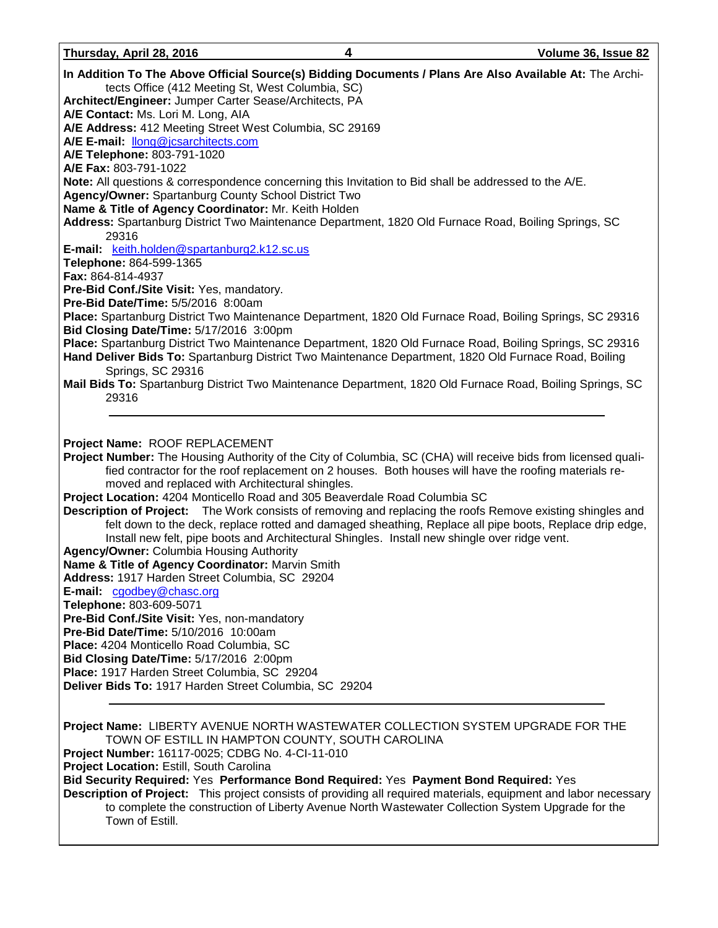| $\frac{1}{2}$                                                                                                                                                                                                                          |
|----------------------------------------------------------------------------------------------------------------------------------------------------------------------------------------------------------------------------------------|
| In Addition To The Above Official Source(s) Bidding Documents / Plans Are Also Available At: The Archi-<br>tects Office (412 Meeting St, West Columbia, SC)                                                                            |
| Architect/Engineer: Jumper Carter Sease/Architects, PA                                                                                                                                                                                 |
| A/E Contact: Ms. Lori M. Long, AIA                                                                                                                                                                                                     |
| A/E Address: 412 Meeting Street West Columbia, SC 29169                                                                                                                                                                                |
| A/E E-mail: llong@jcsarchitects.com                                                                                                                                                                                                    |
| A/E Telephone: 803-791-1020                                                                                                                                                                                                            |
| A/E Fax: 803-791-1022                                                                                                                                                                                                                  |
| Note: All questions & correspondence concerning this Invitation to Bid shall be addressed to the A/E.                                                                                                                                  |
| Agency/Owner: Spartanburg County School District Two                                                                                                                                                                                   |
| Name & Title of Agency Coordinator: Mr. Keith Holden                                                                                                                                                                                   |
| Address: Spartanburg District Two Maintenance Department, 1820 Old Furnace Road, Boiling Springs, SC                                                                                                                                   |
| 29316                                                                                                                                                                                                                                  |
| E-mail keith.holden@spartanburg2.k12.sc.us                                                                                                                                                                                             |
| Telephone: 864-599-1365                                                                                                                                                                                                                |
| Fax: 864-814-4937                                                                                                                                                                                                                      |
| Pre-Bid Conf./Site Visit: Yes, mandatory.                                                                                                                                                                                              |
| Pre-Bid Date/Time: 5/5/2016 8:00am                                                                                                                                                                                                     |
| Place: Spartanburg District Two Maintenance Department, 1820 Old Furnace Road, Boiling Springs, SC 29316                                                                                                                               |
| Bid Closing Date/Time: 5/17/2016 3:00pm                                                                                                                                                                                                |
| Place: Spartanburg District Two Maintenance Department, 1820 Old Furnace Road, Boiling Springs, SC 29316<br>Hand Deliver Bids To: Spartanburg District Two Maintenance Department, 1820 Old Furnace Road, Boiling<br>Springs, SC 29316 |
| Mail Bids To: Spartanburg District Two Maintenance Department, 1820 Old Furnace Road, Boiling Springs, SC                                                                                                                              |
| 29316                                                                                                                                                                                                                                  |
|                                                                                                                                                                                                                                        |
| Project Name: ROOF REPLACEMENT                                                                                                                                                                                                         |
| Project Number: The Housing Authority of the City of Columbia, SC (CHA) will receive bids from licensed quali-                                                                                                                         |
| fied contractor for the roof replacement on 2 houses. Both houses will have the roofing materials re-                                                                                                                                  |
| moved and replaced with Architectural shingles.                                                                                                                                                                                        |
| Project Location: 4204 Monticello Road and 305 Beaverdale Road Columbia SC                                                                                                                                                             |
| the contract of the contract of the contract of the contract of the contract of the contract of the contract of                                                                                                                        |

**Description of Project:** The Work consists of removing and replacing the roofs Remove existing shingles and felt down to the deck, replace rotted and damaged sheathing, Replace all pipe boots, Replace drip edge, Install new felt, pipe boots and Architectural Shingles. Install new shingle over ridge vent.

**Agency/Owner:** Columbia Housing Authority **Name & Title of Agency Coordinator:** Marvin Smith

**Address:** 1917 Harden Street Columbia, SC 29204

**E-mail:** [cgodbey@chasc.org](mailto:cgodbey@chasc.org)

**Telephone:** 803-609-5071

**Pre-Bid Conf./Site Visit:** Yes, non-mandatory

**Pre-Bid Date/Time:** 5/10/2016 10:00am

**Place:** 4204 Monticello Road Columbia, SC

**Bid Closing Date/Time:** 5/17/2016 2:00pm

**Place:** 1917 Harden Street Columbia, SC 29204

**Deliver Bids To:** 1917 Harden Street Columbia, SC 29204

**Project Name:** LIBERTY AVENUE NORTH WASTEWATER COLLECTION SYSTEM UPGRADE FOR THE TOWN OF ESTILL IN HAMPTON COUNTY, SOUTH CAROLINA

**Project Number:** 16117-0025; CDBG No. 4-CI-11-010

**Project Location:** Estill, South Carolina

**Bid Security Required:** Yes **Performance Bond Required:** Yes **Payment Bond Required:** Yes

**Description of Project:** This project consists of providing all required materials, equipment and labor necessary to complete the construction of Liberty Avenue North Wastewater Collection System Upgrade for the Town of Estill.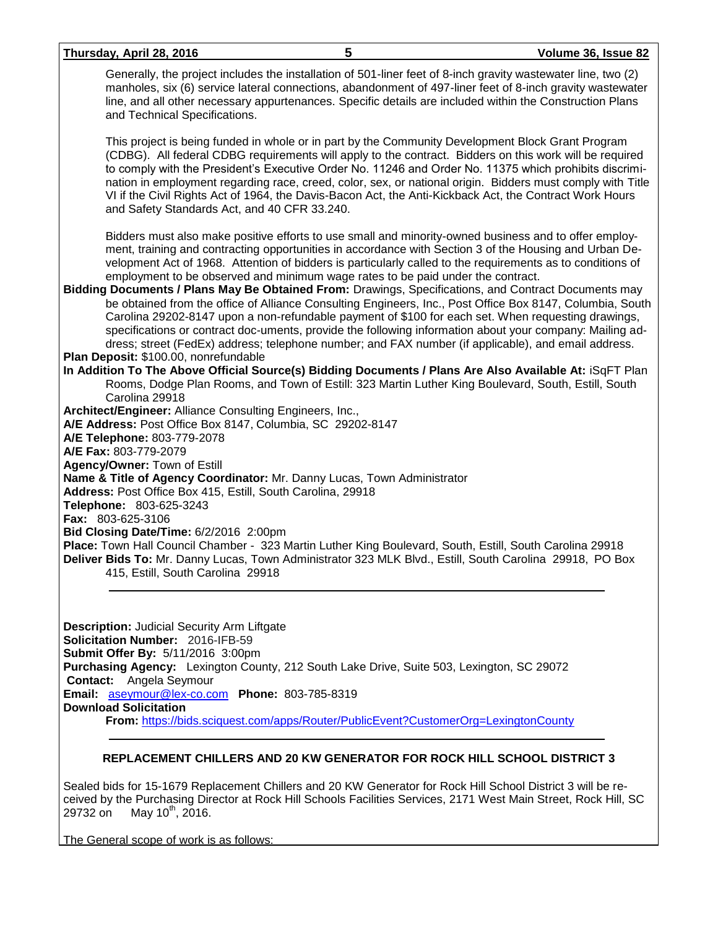| Thursday, April 28, 2016                                                | 5                                                                               | Volume 36, Issue 82                                                                                                                                                                                                                                                                                                                                                                                                                                                                                                                             |
|-------------------------------------------------------------------------|---------------------------------------------------------------------------------|-------------------------------------------------------------------------------------------------------------------------------------------------------------------------------------------------------------------------------------------------------------------------------------------------------------------------------------------------------------------------------------------------------------------------------------------------------------------------------------------------------------------------------------------------|
| and Technical Specifications.                                           |                                                                                 | Generally, the project includes the installation of 501-liner feet of 8-inch gravity wastewater line, two (2)<br>manholes, six (6) service lateral connections, abandonment of 497-liner feet of 8-inch gravity wastewater<br>line, and all other necessary appurtenances. Specific details are included within the Construction Plans                                                                                                                                                                                                          |
| and Safety Standards Act, and 40 CFR 33.240.                            |                                                                                 | This project is being funded in whole or in part by the Community Development Block Grant Program<br>(CDBG). All federal CDBG requirements will apply to the contract. Bidders on this work will be required<br>to comply with the President's Executive Order No. 11246 and Order No. 11375 which prohibits discrimi-<br>nation in employment regarding race, creed, color, sex, or national origin. Bidders must comply with Title<br>VI if the Civil Rights Act of 1964, the Davis-Bacon Act, the Anti-Kickback Act, the Contract Work Hours |
|                                                                         | employment to be observed and minimum wage rates to be paid under the contract. | Bidders must also make positive efforts to use small and minority-owned business and to offer employ-<br>ment, training and contracting opportunities in accordance with Section 3 of the Housing and Urban De-<br>velopment Act of 1968. Attention of bidders is particularly called to the requirements as to conditions of<br>Bidding Documents / Plans May Be Obtained From: Drawings, Specifications, and Contract Documents may                                                                                                           |
|                                                                         |                                                                                 | be obtained from the office of Alliance Consulting Engineers, Inc., Post Office Box 8147, Columbia, South<br>Carolina 29202-8147 upon a non-refundable payment of \$100 for each set. When requesting drawings,<br>specifications or contract doc-uments, provide the following information about your company: Mailing ad-<br>dress; street (FedEx) address; telephone number; and FAX number (if applicable), and email address.                                                                                                              |
| Plan Deposit: \$100.00, nonrefundable<br>Carolina 29918                 |                                                                                 | In Addition To The Above Official Source(s) Bidding Documents / Plans Are Also Available At: iSqFT Plan<br>Rooms, Dodge Plan Rooms, and Town of Estill: 323 Martin Luther King Boulevard, South, Estill, South                                                                                                                                                                                                                                                                                                                                  |
| Architect/Engineer: Alliance Consulting Engineers, Inc.,                |                                                                                 |                                                                                                                                                                                                                                                                                                                                                                                                                                                                                                                                                 |
| A/E Address: Post Office Box 8147, Columbia, SC 29202-8147              |                                                                                 |                                                                                                                                                                                                                                                                                                                                                                                                                                                                                                                                                 |
| A/E Telephone: 803-779-2078<br>A/E Fax: 803-779-2079                    |                                                                                 |                                                                                                                                                                                                                                                                                                                                                                                                                                                                                                                                                 |
| <b>Agency/Owner: Town of Estill</b>                                     |                                                                                 |                                                                                                                                                                                                                                                                                                                                                                                                                                                                                                                                                 |
| Name & Title of Agency Coordinator: Mr. Danny Lucas, Town Administrator |                                                                                 |                                                                                                                                                                                                                                                                                                                                                                                                                                                                                                                                                 |
| Address: Post Office Box 415, Estill, South Carolina, 29918             |                                                                                 |                                                                                                                                                                                                                                                                                                                                                                                                                                                                                                                                                 |
| Telephone: 803-625-3243                                                 |                                                                                 |                                                                                                                                                                                                                                                                                                                                                                                                                                                                                                                                                 |
| Fax: 803-625-3106<br>Bid Closing Date/Time: 6/2/2016 2:00pm             |                                                                                 |                                                                                                                                                                                                                                                                                                                                                                                                                                                                                                                                                 |
|                                                                         |                                                                                 | Place: Town Hall Council Chamber - 323 Martin Luther King Boulevard, South, Estill, South Carolina 29918                                                                                                                                                                                                                                                                                                                                                                                                                                        |
| 415, Estill, South Carolina 29918                                       |                                                                                 | Deliver Bids To: Mr. Danny Lucas, Town Administrator 323 MLK Blvd., Estill, South Carolina 29918, PO Box                                                                                                                                                                                                                                                                                                                                                                                                                                        |
|                                                                         |                                                                                 |                                                                                                                                                                                                                                                                                                                                                                                                                                                                                                                                                 |

**Description:** Judicial Security Arm Liftgate **Solicitation Number:** 2016-IFB-59 **Submit Offer By:** 5/11/2016 3:00pm **Purchasing Agency:** Lexington County, 212 South Lake Drive, Suite 503, Lexington, SC 29072 **Contact:** Angela Seymour **Email:** [aseymour@lex-co.com](mailto:aseymour@lex-co.com) **Phone:** 803-785-8319 **Download Solicitation From:** <https://bids.sciquest.com/apps/Router/PublicEvent?CustomerOrg=LexingtonCounty>

#### **REPLACEMENT CHILLERS AND 20 KW GENERATOR FOR ROCK HILL SCHOOL DISTRICT 3**

Sealed bids for 15-1679 Replacement Chillers and 20 KW Generator for Rock Hill School District 3 will be received by the Purchasing Director at Rock Hill Schools Facilities Services, 2171 West Main Street, Rock Hill, SC  $29732$  on May  $10^{th}$ ,  $2016$ .

The General scope of work is as follows: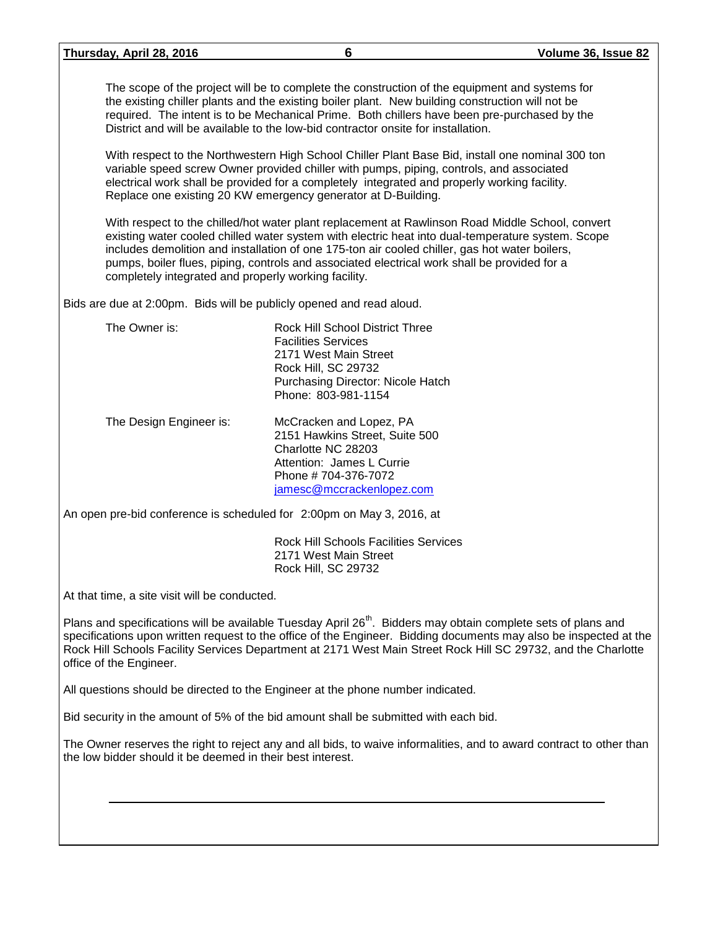| Thursday, April 28, 2016                                                                                                                                                                                                                                                                                                                                                                                                                                        | 6                                                                                                                                                                                                                                                                                                                                                             | Volume 36, Issue 82                                                                                                  |  |  |
|-----------------------------------------------------------------------------------------------------------------------------------------------------------------------------------------------------------------------------------------------------------------------------------------------------------------------------------------------------------------------------------------------------------------------------------------------------------------|---------------------------------------------------------------------------------------------------------------------------------------------------------------------------------------------------------------------------------------------------------------------------------------------------------------------------------------------------------------|----------------------------------------------------------------------------------------------------------------------|--|--|
| The scope of the project will be to complete the construction of the equipment and systems for<br>the existing chiller plants and the existing boiler plant. New building construction will not be<br>required. The intent is to be Mechanical Prime. Both chillers have been pre-purchased by the<br>District and will be available to the low-bid contractor onsite for installation.                                                                         |                                                                                                                                                                                                                                                                                                                                                               |                                                                                                                      |  |  |
|                                                                                                                                                                                                                                                                                                                                                                                                                                                                 | With respect to the Northwestern High School Chiller Plant Base Bid, install one nominal 300 ton<br>variable speed screw Owner provided chiller with pumps, piping, controls, and associated<br>electrical work shall be provided for a completely integrated and properly working facility.<br>Replace one existing 20 KW emergency generator at D-Building. |                                                                                                                      |  |  |
| With respect to the chilled/hot water plant replacement at Rawlinson Road Middle School, convert<br>existing water cooled chilled water system with electric heat into dual-temperature system. Scope<br>includes demolition and installation of one 175-ton air cooled chiller, gas hot water boilers,<br>pumps, boiler flues, piping, controls and associated electrical work shall be provided for a<br>completely integrated and properly working facility. |                                                                                                                                                                                                                                                                                                                                                               |                                                                                                                      |  |  |
| Bids are due at 2:00pm. Bids will be publicly opened and read aloud.                                                                                                                                                                                                                                                                                                                                                                                            |                                                                                                                                                                                                                                                                                                                                                               |                                                                                                                      |  |  |
| The Owner is:                                                                                                                                                                                                                                                                                                                                                                                                                                                   | <b>Rock Hill School District Three</b><br><b>Facilities Services</b><br>2171 West Main Street<br>Rock Hill, SC 29732<br>Purchasing Director: Nicole Hatch<br>Phone: 803-981-1154                                                                                                                                                                              |                                                                                                                      |  |  |
| The Design Engineer is:                                                                                                                                                                                                                                                                                                                                                                                                                                         | McCracken and Lopez, PA<br>2151 Hawkins Street, Suite 500<br>Charlotte NC 28203<br>Attention: James L Currie<br>Phone #704-376-7072<br>jamesc@mccrackenlopez.com                                                                                                                                                                                              |                                                                                                                      |  |  |
| An open pre-bid conference is scheduled for 2:00pm on May 3, 2016, at                                                                                                                                                                                                                                                                                                                                                                                           |                                                                                                                                                                                                                                                                                                                                                               |                                                                                                                      |  |  |
|                                                                                                                                                                                                                                                                                                                                                                                                                                                                 | <b>Rock Hill Schools Facilities Services</b><br>2171 West Main Street<br>Rock Hill, SC 29732                                                                                                                                                                                                                                                                  |                                                                                                                      |  |  |
| At that time, a site visit will be conducted.                                                                                                                                                                                                                                                                                                                                                                                                                   |                                                                                                                                                                                                                                                                                                                                                               |                                                                                                                      |  |  |
| Plans and specifications will be available Tuesday April 26 <sup>th</sup> . Bidders may obtain complete sets of plans and<br>specifications upon written request to the office of the Engineer. Bidding documents may also be inspected at the<br>Rock Hill Schools Facility Services Department at 2171 West Main Street Rock Hill SC 29732, and the Charlotte<br>office of the Engineer.                                                                      |                                                                                                                                                                                                                                                                                                                                                               |                                                                                                                      |  |  |
| All questions should be directed to the Engineer at the phone number indicated.                                                                                                                                                                                                                                                                                                                                                                                 |                                                                                                                                                                                                                                                                                                                                                               |                                                                                                                      |  |  |
| Bid security in the amount of 5% of the bid amount shall be submitted with each bid.                                                                                                                                                                                                                                                                                                                                                                            |                                                                                                                                                                                                                                                                                                                                                               |                                                                                                                      |  |  |
| the low bidder should it be deemed in their best interest.                                                                                                                                                                                                                                                                                                                                                                                                      |                                                                                                                                                                                                                                                                                                                                                               | The Owner reserves the right to reject any and all bids, to waive informalities, and to award contract to other than |  |  |
|                                                                                                                                                                                                                                                                                                                                                                                                                                                                 |                                                                                                                                                                                                                                                                                                                                                               |                                                                                                                      |  |  |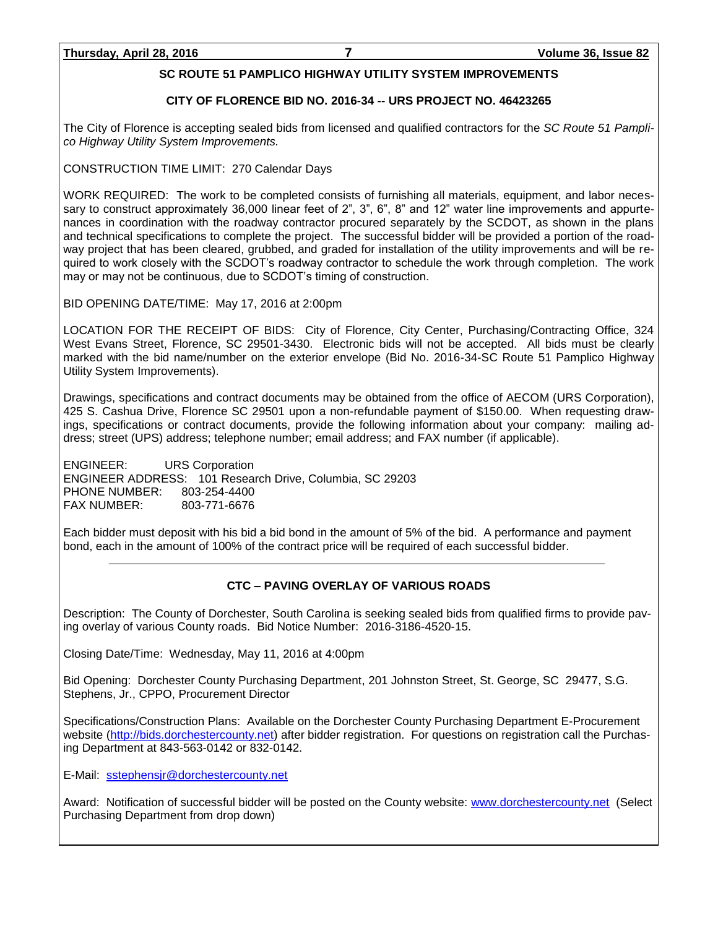## **SC ROUTE 51 PAMPLICO HIGHWAY UTILITY SYSTEM IMPROVEMENTS**

#### **CITY OF FLORENCE BID NO. 2016-34 -- URS PROJECT NO. 46423265**

The City of Florence is accepting sealed bids from licensed and qualified contractors for the *SC Route 51 Pamplico Highway Utility System Improvements.*

CONSTRUCTION TIME LIMIT: 270 Calendar Days

WORK REQUIRED: The work to be completed consists of furnishing all materials, equipment, and labor necessary to construct approximately 36,000 linear feet of 2", 3", 6", 8" and 12" water line improvements and appurtenances in coordination with the roadway contractor procured separately by the SCDOT, as shown in the plans and technical specifications to complete the project. The successful bidder will be provided a portion of the roadway project that has been cleared, grubbed, and graded for installation of the utility improvements and will be required to work closely with the SCDOT's roadway contractor to schedule the work through completion. The work may or may not be continuous, due to SCDOT's timing of construction.

BID OPENING DATE/TIME: May 17, 2016 at 2:00pm

LOCATION FOR THE RECEIPT OF BIDS: City of Florence, City Center, Purchasing/Contracting Office, 324 West Evans Street, Florence, SC 29501-3430. Electronic bids will not be accepted. All bids must be clearly marked with the bid name/number on the exterior envelope (Bid No. 2016-34-SC Route 51 Pamplico Highway Utility System Improvements).

Drawings, specifications and contract documents may be obtained from the office of AECOM (URS Corporation), 425 S. Cashua Drive, Florence SC 29501 upon a non-refundable payment of \$150.00. When requesting drawings, specifications or contract documents, provide the following information about your company: mailing address; street (UPS) address; telephone number; email address; and FAX number (if applicable).

ENGINEER: URS Corporation ENGINEER ADDRESS: 101 Research Drive, Columbia, SC 29203 PHONE NUMBER: 803-254-4400 FAX NUMBER: 803-771-6676

Each bidder must deposit with his bid a bid bond in the amount of 5% of the bid. A performance and payment bond, each in the amount of 100% of the contract price will be required of each successful bidder.

# **CTC – PAVING OVERLAY OF VARIOUS ROADS**

Description: The County of Dorchester, South Carolina is seeking sealed bids from qualified firms to provide paving overlay of various County roads. Bid Notice Number: 2016-3186-4520-15.

Closing Date/Time: Wednesday, May 11, 2016 at 4:00pm

Bid Opening: Dorchester County Purchasing Department, 201 Johnston Street, St. George, SC 29477, S.G. Stephens, Jr., CPPO, Procurement Director

Specifications/Construction Plans: Available on the Dorchester County Purchasing Department E-Procurement website [\(http://bids.dorchestercounty.net\)](http://bids.dorchestercounty.net/) after bidder registration. For questions on registration call the Purchasing Department at 843-563-0142 or 832-0142.

E-Mail: [sstephensjr@dorchestercounty.net](mailto:sstephensjr@dorchestercounty.net)

Award: Notification of successful bidder will be posted on the County website: [www.dorchestercounty.net](http://www.dorchestercounty.net/) (Select Purchasing Department from drop down)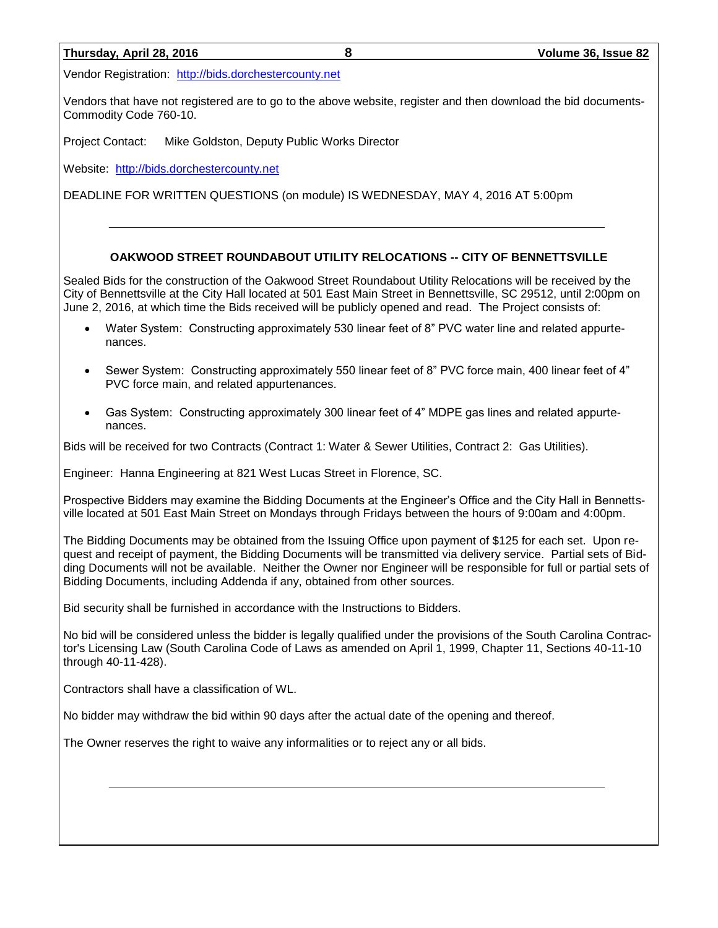#### **Thursday, April 28, 2016 8 Volume 36, Issue 82**

Vendors that have not registered are to go to the above website, register and then download the bid documents-Commodity Code 760-10.

Project Contact: Mike Goldston, Deputy Public Works Director

Website: [http://bids.dorchestercounty.net](http://bids.dorchestercounty.net/)

DEADLINE FOR WRITTEN QUESTIONS (on module) IS WEDNESDAY, MAY 4, 2016 AT 5:00pm

#### **OAKWOOD STREET ROUNDABOUT UTILITY RELOCATIONS -- CITY OF BENNETTSVILLE**

Sealed Bids for the construction of the Oakwood Street Roundabout Utility Relocations will be received by the City of Bennettsville at the City Hall located at 501 East Main Street in Bennettsville, SC 29512, until 2:00pm on June 2, 2016, at which time the Bids received will be publicly opened and read. The Project consists of:

- Water System: Constructing approximately 530 linear feet of 8" PVC water line and related appurtenances.
- Sewer System: Constructing approximately 550 linear feet of 8" PVC force main, 400 linear feet of 4" PVC force main, and related appurtenances.
- Gas System: Constructing approximately 300 linear feet of 4" MDPE gas lines and related appurtenances.

Bids will be received for two Contracts (Contract 1: Water & Sewer Utilities, Contract 2: Gas Utilities).

Engineer: Hanna Engineering at 821 West Lucas Street in Florence, SC.

Prospective Bidders may examine the Bidding Documents at the Engineer's Office and the City Hall in Bennettsville located at 501 East Main Street on Mondays through Fridays between the hours of 9:00am and 4:00pm.

The Bidding Documents may be obtained from the Issuing Office upon payment of \$125 for each set. Upon request and receipt of payment, the Bidding Documents will be transmitted via delivery service. Partial sets of Bidding Documents will not be available. Neither the Owner nor Engineer will be responsible for full or partial sets of Bidding Documents, including Addenda if any, obtained from other sources.

Bid security shall be furnished in accordance with the Instructions to Bidders.

No bid will be considered unless the bidder is legally qualified under the provisions of the South Carolina Contractor's Licensing Law (South Carolina Code of Laws as amended on April 1, 1999, Chapter 11, Sections 40-11-10 through 40-11-428).

Contractors shall have a classification of WL.

No bidder may withdraw the bid within 90 days after the actual date of the opening and thereof.

The Owner reserves the right to waive any informalities or to reject any or all bids.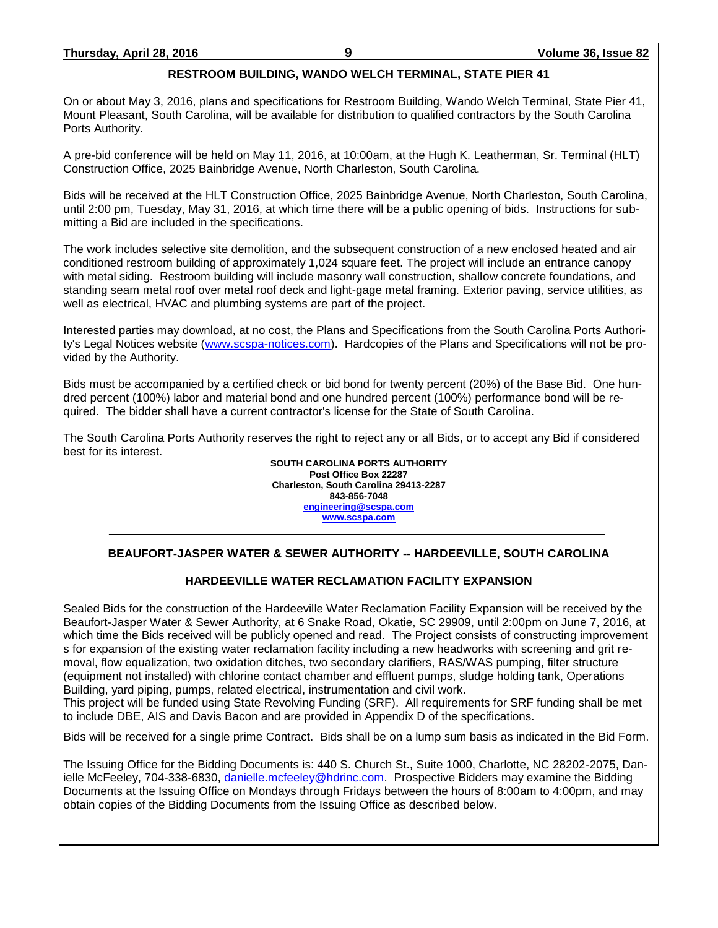# **RESTROOM BUILDING, WANDO WELCH TERMINAL, STATE PIER 41**

On or about May 3, 2016, plans and specifications for Restroom Building, Wando Welch Terminal, State Pier 41, Mount Pleasant, South Carolina, will be available for distribution to qualified contractors by the South Carolina Ports Authority.

A pre-bid conference will be held on May 11, 2016, at 10:00am, at the Hugh K. Leatherman, Sr. Terminal (HLT) Construction Office, 2025 Bainbridge Avenue, North Charleston, South Carolina.

Bids will be received at the HLT Construction Office, 2025 Bainbridge Avenue, North Charleston, South Carolina, until 2:00 pm, Tuesday, May 31, 2016, at which time there will be a public opening of bids. Instructions for submitting a Bid are included in the specifications.

The work includes selective site demolition, and the subsequent construction of a new enclosed heated and air conditioned restroom building of approximately 1,024 square feet. The project will include an entrance canopy with metal siding. Restroom building will include masonry wall construction, shallow concrete foundations, and standing seam metal roof over metal roof deck and light-gage metal framing. Exterior paving, service utilities, as well as electrical, HVAC and plumbing systems are part of the project.

Interested parties may download, at no cost, the Plans and Specifications from the South Carolina Ports Authori-ty's Legal Notices website [\(www.scspa-notices.com\)](http://www.scspa-notices.com/). Hardcopies of the Plans and Specifications will not be provided by the Authority.

Bids must be accompanied by a certified check or bid bond for twenty percent (20%) of the Base Bid. One hundred percent (100%) labor and material bond and one hundred percent (100%) performance bond will be required. The bidder shall have a current contractor's license for the State of South Carolina.

The South Carolina Ports Authority reserves the right to reject any or all Bids, or to accept any Bid if considered best for its interest.

**SOUTH CAROLINA PORTS AUTHORITY Post Office Box 22287 Charleston, South Carolina 29413-2287 843-856-7048 [engineering@scspa.com](mailto:engineering@scspa.com) [www.scspa.com](http://www.scspa.com/)**

# **BEAUFORT-JASPER WATER & SEWER AUTHORITY -- HARDEEVILLE, SOUTH CAROLINA**

# **HARDEEVILLE WATER RECLAMATION FACILITY EXPANSION**

Sealed Bids for the construction of the Hardeeville Water Reclamation Facility Expansion will be received by the Beaufort-Jasper Water & Sewer Authority, at 6 Snake Road, Okatie, SC 29909, until 2:00pm on June 7, 2016, at which time the Bids received will be publicly opened and read. The Project consists of constructing improvement s for expansion of the existing water reclamation facility including a new headworks with screening and grit removal, flow equalization, two oxidation ditches, two secondary clarifiers, RAS/WAS pumping, filter structure (equipment not installed) with chlorine contact chamber and effluent pumps, sludge holding tank, Operations Building, yard piping, pumps, related electrical, instrumentation and civil work.

This project will be funded using State Revolving Funding (SRF). All requirements for SRF funding shall be met to include DBE, AIS and Davis Bacon and are provided in Appendix D of the specifications.

Bids will be received for a single prime Contract. Bids shall be on a lump sum basis as indicated in the Bid Form.

The Issuing Office for the Bidding Documents is: 440 S. Church St., Suite 1000, Charlotte, NC 28202-2075, Danielle McFeeley, 704-338-6830, [danielle.mcfeeley@hdrinc.com.](mailto:danielle.mcfeeley@hdrinc.com) Prospective Bidders may examine the Bidding Documents at the Issuing Office on Mondays through Fridays between the hours of 8:00am to 4:00pm, and may obtain copies of the Bidding Documents from the Issuing Office as described below.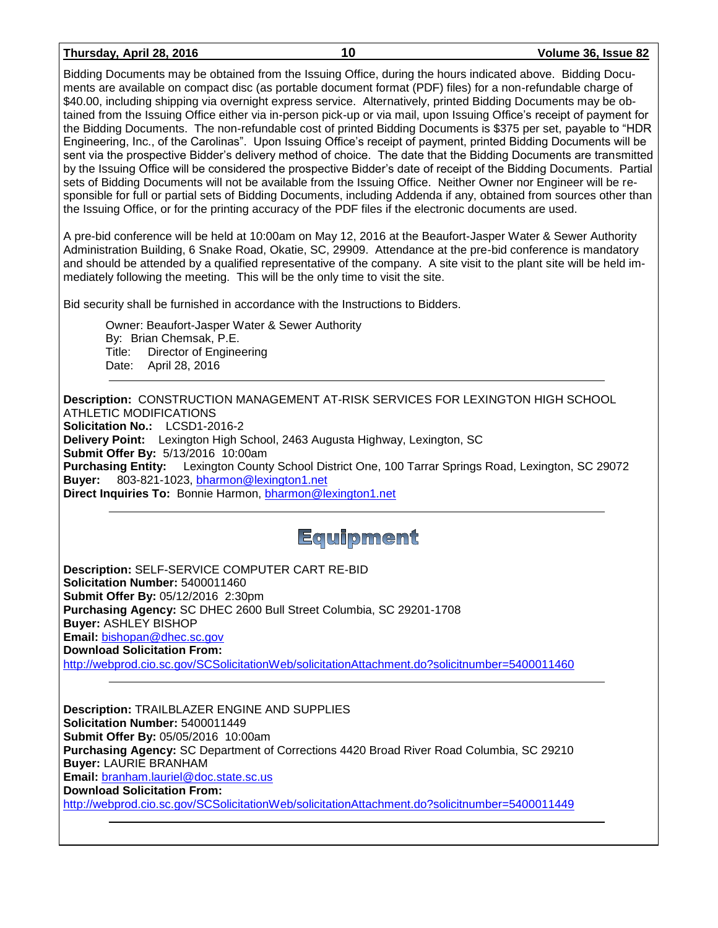| Thursday, April 28, 2016 |  |
|--------------------------|--|
|--------------------------|--|

Bidding Documents may be obtained from the Issuing Office, during the hours indicated above. Bidding Documents are available on compact disc (as portable document format (PDF) files) for a non-refundable charge of \$40.00, including shipping via overnight express service. Alternatively, printed Bidding Documents may be obtained from the Issuing Office either via in-person pick-up or via mail, upon Issuing Office's receipt of payment for the Bidding Documents. The non-refundable cost of printed Bidding Documents is \$375 per set, payable to "HDR Engineering, Inc., of the Carolinas". Upon Issuing Office's receipt of payment, printed Bidding Documents will be sent via the prospective Bidder's delivery method of choice. The date that the Bidding Documents are transmitted by the Issuing Office will be considered the prospective Bidder's date of receipt of the Bidding Documents. Partial sets of Bidding Documents will not be available from the Issuing Office. Neither Owner nor Engineer will be responsible for full or partial sets of Bidding Documents, including Addenda if any, obtained from sources other than the Issuing Office, or for the printing accuracy of the PDF files if the electronic documents are used.

A pre-bid conference will be held at 10:00am on May 12, 2016 at the Beaufort-Jasper Water & Sewer Authority Administration Building, 6 Snake Road, Okatie, SC, 29909. Attendance at the pre-bid conference is mandatory and should be attended by a qualified representative of the company. A site visit to the plant site will be held immediately following the meeting. This will be the only time to visit the site.

Bid security shall be furnished in accordance with the Instructions to Bidders.

Owner: Beaufort-Jasper Water & Sewer Authority By: Brian Chemsak, P.E. Title: Director of Engineering Date: April 28, 2016

**Description:** CONSTRUCTION MANAGEMENT AT-RISK SERVICES FOR LEXINGTON HIGH SCHOOL ATHLETIC MODIFICATIONS **Solicitation No.:** LCSD1-2016-2 **Delivery Point:** Lexington High School, 2463 Augusta Highway, Lexington, SC **Submit Offer By:** 5/13/2016 10:00am **Purchasing Entity:** Lexington County School District One, 100 Tarrar Springs Road, Lexington, SC 29072 **Buyer:** 803-821-1023, [bharmon@lexington1.net](mailto:bharmon@lexington1.net) **Direct Inquiries To:** Bonnie Harmon[, bharmon@lexington1.net](mailto:bharmon@lexington1.net)

# Equipment

**Description:** SELF-SERVICE COMPUTER CART RE-BID **Solicitation Number:** 5400011460 **Submit Offer By:** 05/12/2016 2:30pm **Purchasing Agency:** SC DHEC 2600 Bull Street Columbia, SC 29201-1708 **Buyer:** ASHLEY BISHOP **Email:** [bishopan@dhec.sc.gov](mailto:bishopan@dhec.sc.gov) **Download Solicitation From:**  <http://webprod.cio.sc.gov/SCSolicitationWeb/solicitationAttachment.do?solicitnumber=5400011460>

**Description:** TRAILBLAZER ENGINE AND SUPPLIES **Solicitation Number:** 5400011449 **Submit Offer By:** 05/05/2016 10:00am **Purchasing Agency:** SC Department of Corrections 4420 Broad River Road Columbia, SC 29210 **Buyer:** LAURIE BRANHAM **Email:** [branham.lauriel@doc.state.sc.us](mailto:branham.lauriel@doc.state.sc.us) **Download Solicitation From:**  <http://webprod.cio.sc.gov/SCSolicitationWeb/solicitationAttachment.do?solicitnumber=5400011449>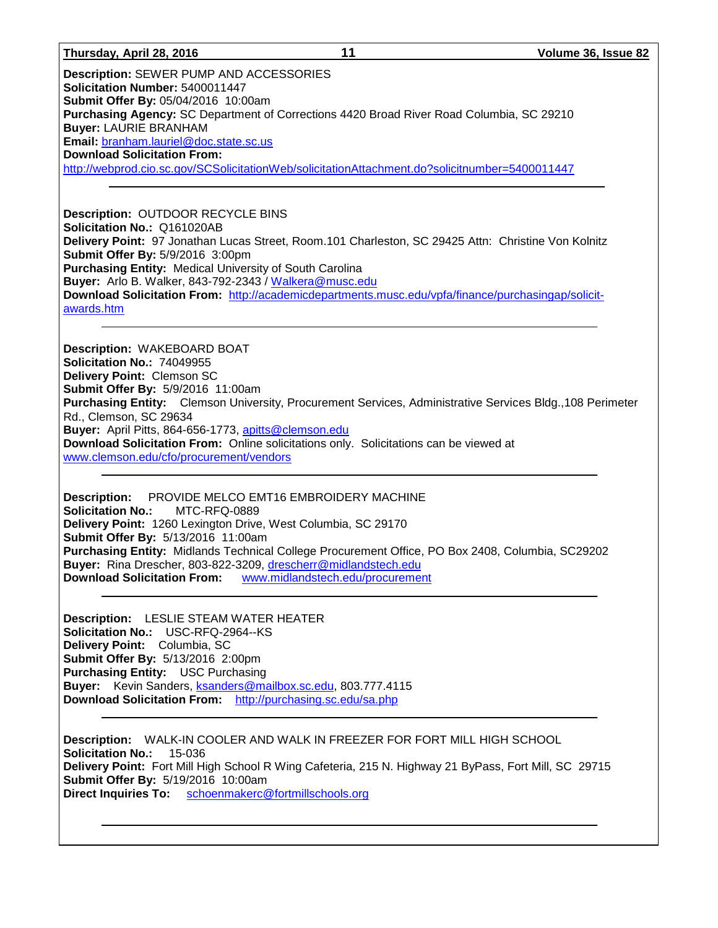#### **Thursday, April 28, 2016 11 Volume 36, Issue 82**

**Description:** SEWER PUMP AND ACCESSORIES **Solicitation Number:** 5400011447 **Submit Offer By:** 05/04/2016 10:00am **Purchasing Agency:** SC Department of Corrections 4420 Broad River Road Columbia, SC 29210 **Buyer:** LAURIE BRANHAM **Email:** [branham.lauriel@doc.state.sc.us](mailto:branham.lauriel@doc.state.sc.us) **Download Solicitation From:**  <http://webprod.cio.sc.gov/SCSolicitationWeb/solicitationAttachment.do?solicitnumber=5400011447>

**Description:** OUTDOOR RECYCLE BINS **Solicitation No.:** Q161020AB **Delivery Point:** 97 Jonathan Lucas Street, Room.101 Charleston, SC 29425 Attn: Christine Von Kolnitz **Submit Offer By:** 5/9/2016 3:00pm **Purchasing Entity:** Medical University of South Carolina **Buyer:** Arlo B. Walker, 843-792-2343 / [Walkera@musc.edu](mailto:Walkera@musc.edu) **Download Solicitation From:** [http://academicdepartments.musc.edu/vpfa/finance/purchasingap/solicit](http://academicdepartments.musc.edu/vpfa/finance/purchasingap/solicit-awards.htm)[awards.htm](http://academicdepartments.musc.edu/vpfa/finance/purchasingap/solicit-awards.htm)

**Description:** WAKEBOARD BOAT **Solicitation No.:** 74049955 **Delivery Point:** Clemson SC **Submit Offer By:** 5/9/2016 11:00am **Purchasing Entity:** Clemson University, Procurement Services, Administrative Services Bldg.,108 Perimeter Rd., Clemson, SC 29634 **Buyer:** April Pitts, 864-656-1773, [apitts@clemson.edu](mailto:apitts@clemson.edu) **Download Solicitation From:** Online solicitations only. Solicitations can be viewed at [www.clemson.edu/cfo/procurement/vendors](http://www.clemson.edu/cfo/procurement/vendors)

**Description:** PROVIDE MELCO EMT16 EMBROIDERY MACHINE **Solicitation No.:** MTC-RFQ-0889 **Delivery Point:** 1260 Lexington Drive, West Columbia, SC 29170 **Submit Offer By:** 5/13/2016 11:00am **Purchasing Entity:** Midlands Technical College Procurement Office, PO Box 2408, Columbia, SC29202 **Buyer:** Rina Drescher, 803-822-3209, [drescherr@midlandstech.edu](mailto:drescherr@midlandstech.edu) **Download Solicitation From:** [www.midlandstech.edu/procurement](http://www.midlandstech.edu/procurement)

**Description:** LESLIE STEAM WATER HEATER **Solicitation No.:** USC-RFQ-2964--KS **Delivery Point:** Columbia, SC **Submit Offer By:** 5/13/2016 2:00pm **Purchasing Entity:** USC Purchasing **Buyer:** Kevin Sanders, [ksanders@mailbox.sc.edu,](mailto:ksanders@mailbox.sc.edu) 803.777.4115 **Download Solicitation From:** <http://purchasing.sc.edu/sa.php>

**Description:** WALK-IN COOLER AND WALK IN FREEZER FOR FORT MILL HIGH SCHOOL **Solicitation No.:** 15-036 **Delivery Point:** Fort Mill High School R Wing Cafeteria, 215 N. Highway 21 ByPass, Fort Mill, SC 29715 **Submit Offer By:** 5/19/2016 10:00am **Direct Inquiries To:** [schoenmakerc@fortmillschools.org](mailto:schoenmakerc@fortmillschools.org)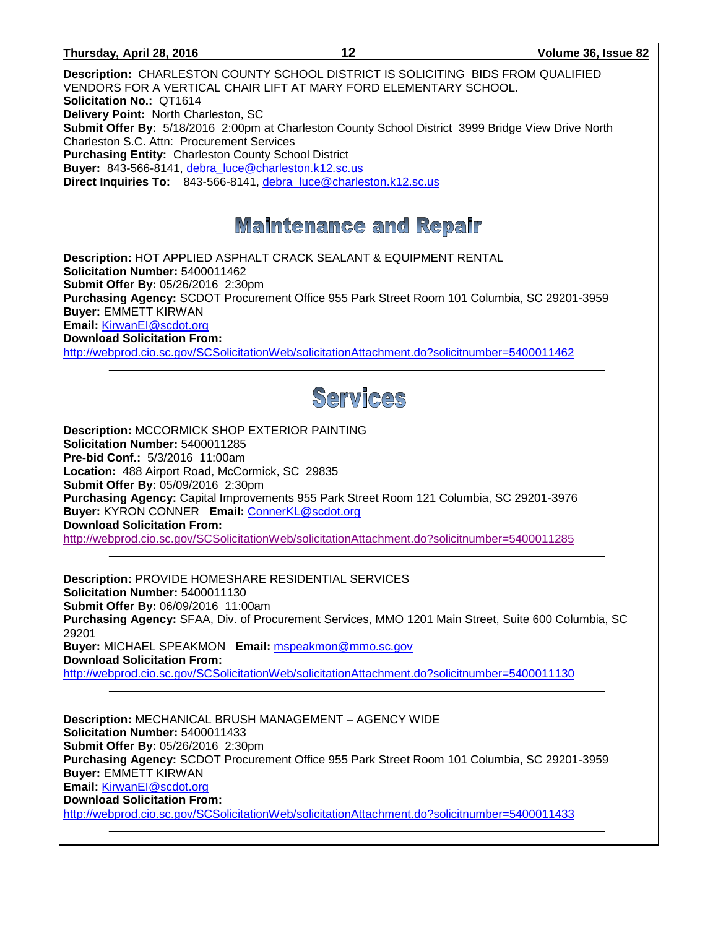**Description:** CHARLESTON COUNTY SCHOOL DISTRICT IS SOLICITING BIDS FROM QUALIFIED VENDORS FOR A VERTICAL CHAIR LIFT AT MARY FORD ELEMENTARY SCHOOL. **Solicitation No.:** QT1614 **Delivery Point:** North Charleston, SC **Submit Offer By:** 5/18/2016 2:00pm at Charleston County School District 3999 Bridge View Drive North Charleston S.C. Attn: Procurement Services **Purchasing Entity:** Charleston County School District Buyer: 843-566-8141, [debra\\_luce@charleston.k12.sc.us](mailto:debra_luce@charleston.k12.sc.us) **Direct Inquiries To:** 843-566-8141, [debra\\_luce@charleston.k12.sc.us](mailto:debra_luce@charleston.k12.sc.us) **Maintenance and Repair Description:** HOT APPLIED ASPHALT CRACK SEALANT & EQUIPMENT RENTAL **Solicitation Number:** 5400011462 **Submit Offer By:** 05/26/2016 2:30pm **Purchasing Agency:** SCDOT Procurement Office 955 Park Street Room 101 Columbia, SC 29201-3959 **Buyer:** EMMETT KIRWAN **Email:** [KirwanEI@scdot.org](mailto:KirwanEI@scdot.org) **Download Solicitation From:**  <http://webprod.cio.sc.gov/SCSolicitationWeb/solicitationAttachment.do?solicitnumber=5400011462> Services **Description:** MCCORMICK SHOP EXTERIOR PAINTING **Solicitation Number:** 5400011285 **Pre-bid Conf.:** 5/3/2016 11:00am Location: 488 Airport Road, McCormick, SC 29835 **Submit Offer By:** 05/09/2016 2:30pm **Purchasing Agency:** Capital Improvements 955 Park Street Room 121 Columbia, SC 29201-3976 **Buyer:** KYRON CONNER **Email:** [ConnerKL@scdot.org](mailto:ConnerKL@scdot.org) **Download Solicitation From:**  <http://webprod.cio.sc.gov/SCSolicitationWeb/solicitationAttachment.do?solicitnumber=5400011285> **Description:** PROVIDE HOMESHARE RESIDENTIAL SERVICES **Solicitation Number:** 5400011130 **Submit Offer By:** 06/09/2016 11:00am **Purchasing Agency:** SFAA, Div. of Procurement Services, MMO 1201 Main Street, Suite 600 Columbia, SC 29201 **Buyer:** MICHAEL SPEAKMON **Email:** [mspeakmon@mmo.sc.gov](mailto:mspeakmon@mmo.sc.gov) **Download Solicitation From:**  <http://webprod.cio.sc.gov/SCSolicitationWeb/solicitationAttachment.do?solicitnumber=5400011130> **Description:** MECHANICAL BRUSH MANAGEMENT – AGENCY WIDE **Solicitation Number:** 5400011433 **Submit Offer By:** 05/26/2016 2:30pm **Purchasing Agency:** SCDOT Procurement Office 955 Park Street Room 101 Columbia, SC 29201-3959 **Buyer:** EMMETT KIRWAN **Email:** [KirwanEI@scdot.org](mailto:KirwanEI@scdot.org) **Download Solicitation From:**  <http://webprod.cio.sc.gov/SCSolicitationWeb/solicitationAttachment.do?solicitnumber=5400011433>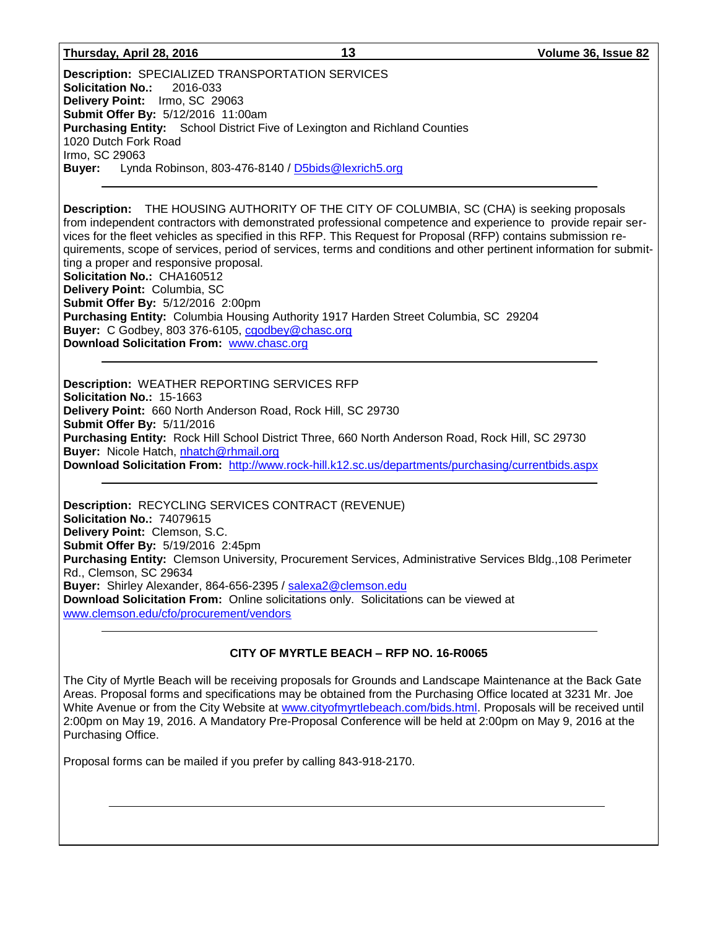#### **Thursday, April 28, 2016 13 Volume 36, Issue 82**

**Description:** SPECIALIZED TRANSPORTATION SERVICES **Solicitation No.:** 2016-033 **Delivery Point:** Irmo, SC 29063 **Submit Offer By:** 5/12/2016 11:00am **Purchasing Entity:** School District Five of Lexington and Richland Counties 1020 Dutch Fork Road Irmo, SC 29063 **Buyer:** Lynda Robinson, 803-476-8140 / [D5bids@lexrich5.org](mailto:D5bids@lexrich5.org)

**Description:** THE HOUSING AUTHORITY OF THE CITY OF COLUMBIA, SC (CHA) is seeking proposals from independent contractors with demonstrated professional competence and experience to provide repair services for the fleet vehicles as specified in this RFP. This Request for Proposal (RFP) contains submission requirements, scope of services, period of services, terms and conditions and other pertinent information for submitting a proper and responsive proposal. **Solicitation No.:** CHA160512 **Delivery Point:** Columbia, SC

**Submit Offer By:** 5/12/2016 2:00pm **Purchasing Entity:** Columbia Housing Authority 1917 Harden Street Columbia, SC 29204 **Buyer:** C Godbey, 803 376-6105, [cgodbey@chasc.org](mailto:cgodbey@chasc.org) **Download Solicitation From:** [www.chasc.org](http://www.chasc.org/)

**Description:** WEATHER REPORTING SERVICES RFP **Solicitation No.:** 15-1663 **Delivery Point:** 660 North Anderson Road, Rock Hill, SC 29730 **Submit Offer By:** 5/11/2016 **Purchasing Entity:** Rock Hill School District Three, 660 North Anderson Road, Rock Hill, SC 29730 **Buyer:** Nicole Hatch, [nhatch@rhmail.org](mailto:nhatch@rhmail.org) **Download Solicitation From:** <http://www.rock-hill.k12.sc.us/departments/purchasing/currentbids.aspx>

**Description:** RECYCLING SERVICES CONTRACT (REVENUE) **Solicitation No.:** 74079615 **Delivery Point:** Clemson, S.C. **Submit Offer By:** 5/19/2016 2:45pm **Purchasing Entity:** Clemson University, Procurement Services, Administrative Services Bldg.,108 Perimeter Rd., Clemson, SC 29634 **Buyer:** Shirley Alexander, 864-656-2395 / [salexa2@clemson.edu](mailto:salexa2@clemson.edu) **Download Solicitation From:** Online solicitations only. Solicitations can be viewed at [www.clemson.edu/cfo/procurement/vendors](http://www.clemson.edu/cfo/procurement/vendors)

# **CITY OF MYRTLE BEACH – RFP NO. 16-R0065**

The City of Myrtle Beach will be receiving proposals for Grounds and Landscape Maintenance at the Back Gate Areas. Proposal forms and specifications may be obtained from the Purchasing Office located at 3231 Mr. Joe White Avenue or from the City Website at [www.cityofmyrtlebeach.com/bids.html.](http://www.cityofmyrtlebeach.com/bids.html) Proposals will be received until 2:00pm on May 19, 2016. A Mandatory Pre-Proposal Conference will be held at 2:00pm on May 9, 2016 at the Purchasing Office.

Proposal forms can be mailed if you prefer by calling 843-918-2170.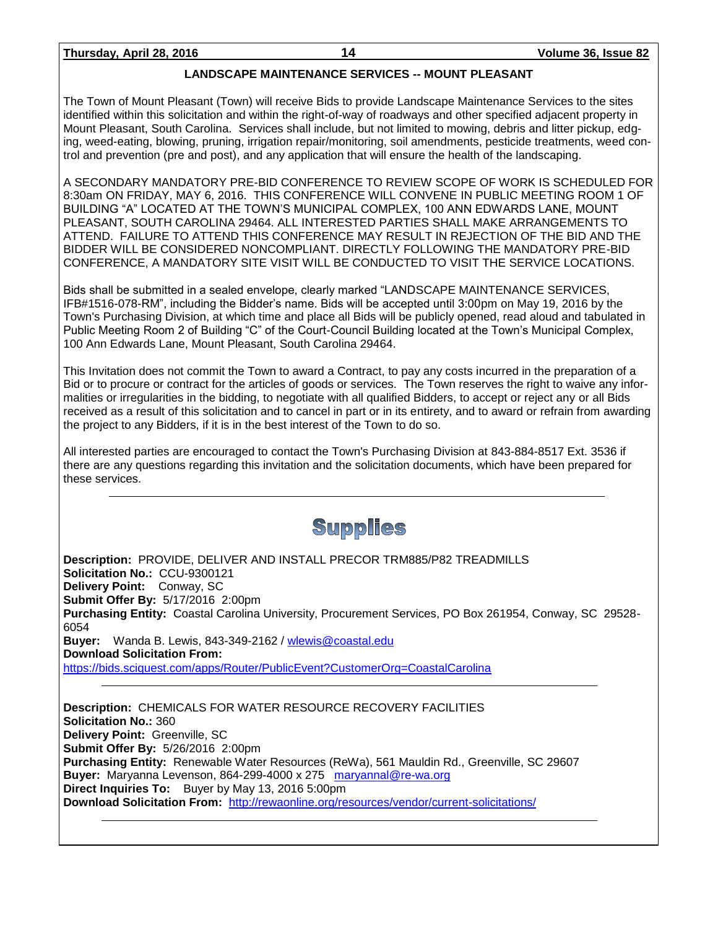### **LANDSCAPE MAINTENANCE SERVICES -- MOUNT PLEASANT**

The Town of Mount Pleasant (Town) will receive Bids to provide Landscape Maintenance Services to the sites identified within this solicitation and within the right-of-way of roadways and other specified adjacent property in Mount Pleasant, South Carolina. Services shall include, but not limited to mowing, debris and litter pickup, edging, weed-eating, blowing, pruning, irrigation repair/monitoring, soil amendments, pesticide treatments, weed control and prevention (pre and post), and any application that will ensure the health of the landscaping.

A SECONDARY MANDATORY PRE-BID CONFERENCE TO REVIEW SCOPE OF WORK IS SCHEDULED FOR 8:30am ON FRIDAY, MAY 6, 2016. THIS CONFERENCE WILL CONVENE IN PUBLIC MEETING ROOM 1 OF BUILDING "A" LOCATED AT THE TOWN'S MUNICIPAL COMPLEX, 100 ANN EDWARDS LANE, MOUNT PLEASANT, SOUTH CAROLINA 29464. ALL INTERESTED PARTIES SHALL MAKE ARRANGEMENTS TO ATTEND. FAILURE TO ATTEND THIS CONFERENCE MAY RESULT IN REJECTION OF THE BID AND THE BIDDER WILL BE CONSIDERED NONCOMPLIANT. DIRECTLY FOLLOWING THE MANDATORY PRE-BID CONFERENCE, A MANDATORY SITE VISIT WILL BE CONDUCTED TO VISIT THE SERVICE LOCATIONS.

Bids shall be submitted in a sealed envelope, clearly marked "LANDSCAPE MAINTENANCE SERVICES, IFB#1516-078-RM", including the Bidder's name. Bids will be accepted until 3:00pm on May 19, 2016 by the Town's Purchasing Division, at which time and place all Bids will be publicly opened, read aloud and tabulated in Public Meeting Room 2 of Building "C" of the Court-Council Building located at the Town's Municipal Complex, 100 Ann Edwards Lane, Mount Pleasant, South Carolina 29464.

This Invitation does not commit the Town to award a Contract, to pay any costs incurred in the preparation of a Bid or to procure or contract for the articles of goods or services. The Town reserves the right to waive any informalities or irregularities in the bidding, to negotiate with all qualified Bidders, to accept or reject any or all Bids received as a result of this solicitation and to cancel in part or in its entirety, and to award or refrain from awarding the project to any Bidders, if it is in the best interest of the Town to do so.

All interested parties are encouraged to contact the Town's Purchasing Division at 843-884-8517 Ext. 3536 if there are any questions regarding this invitation and the solicitation documents, which have been prepared for these services.



**Description:** PROVIDE, DELIVER AND INSTALL PRECOR TRM885/P82 TREADMILLS **Solicitation No.:** CCU-9300121 **Delivery Point:** Conway, SC **Submit Offer By:** 5/17/2016 2:00pm **Purchasing Entity:** Coastal Carolina University, Procurement Services, PO Box 261954, Conway, SC 29528- 6054 **Buyer:** Wanda B. Lewis, 843-349-2162 / [wlewis@coastal.edu](mailto:wlewis@coastal.edu) **Download Solicitation From:** <https://bids.sciquest.com/apps/Router/PublicEvent?CustomerOrg=CoastalCarolina>

**Description:** CHEMICALS FOR WATER RESOURCE RECOVERY FACILITIES **Solicitation No.:** 360 **Delivery Point:** Greenville, SC **Submit Offer By:** 5/26/2016 2:00pm **Purchasing Entity:** Renewable Water Resources (ReWa), 561 Mauldin Rd., Greenville, SC 29607 **Buyer:** Maryanna Levenson, 864-299-4000 x 275 [maryannal@re-wa.org](mailto:maryannal@re-wa.org) **Direct Inquiries To:** Buyer by May 13, 2016 5:00pm **Download Solicitation From:** <http://rewaonline.org/resources/vendor/current-solicitations/>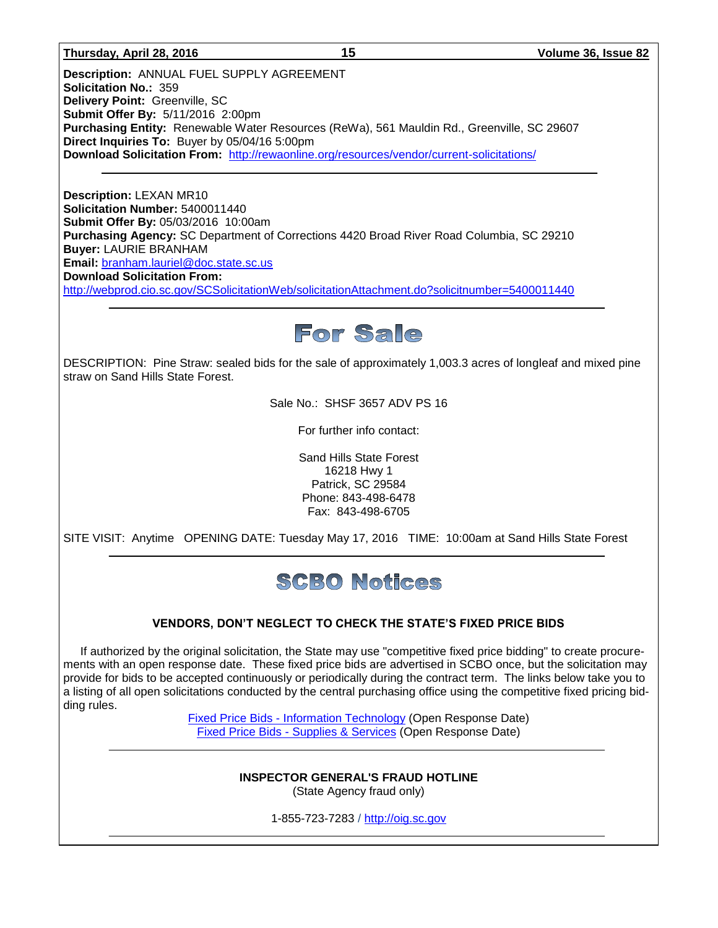#### **Thursday, April 28, 2016 15 Volume 36, Issue 82**

**Description:** ANNUAL FUEL SUPPLY AGREEMENT **Solicitation No.:** 359 **Delivery Point:** Greenville, SC **Submit Offer By:** 5/11/2016 2:00pm **Purchasing Entity:** Renewable Water Resources (ReWa), 561 Mauldin Rd., Greenville, SC 29607 **Direct Inquiries To:** Buyer by 05/04/16 5:00pm **Download Solicitation From:** <http://rewaonline.org/resources/vendor/current-solicitations/>

**Description:** LEXAN MR10 **Solicitation Number:** 5400011440 **Submit Offer By:** 05/03/2016 10:00am **Purchasing Agency:** SC Department of Corrections 4420 Broad River Road Columbia, SC 29210 **Buyer:** LAURIE BRANHAM **Email:** [branham.lauriel@doc.state.sc.us](mailto:branham.lauriel@doc.state.sc.us) **Download Solicitation From:**  <http://webprod.cio.sc.gov/SCSolicitationWeb/solicitationAttachment.do?solicitnumber=5400011440>



DESCRIPTION: Pine Straw: sealed bids for the sale of approximately 1,003.3 acres of longleaf and mixed pine straw on Sand Hills State Forest.

Sale No.: SHSF 3657 ADV PS 16

For further info contact:

Sand Hills State Forest 16218 Hwy 1 Patrick, SC 29584 Phone: 843-498-6478 Fax: 843-498-6705

SITE VISIT: Anytime OPENING DATE: Tuesday May 17, 2016 TIME: 10:00am at Sand Hills State Forest

# **SCBO Notices**

### **VENDORS, DON'T NEGLECT TO CHECK THE STATE'S FIXED PRICE BIDS**

If authorized by the original solicitation, the State may use "competitive fixed price bidding" to create procurements with an open response date. These fixed price bids are advertised in SCBO once, but the solicitation may provide for bids to be accepted continuously or periodically during the contract term. The links below take you to a listing of all open solicitations conducted by the central purchasing office using the competitive fixed pricing bidding rules.

> Fixed Price Bids - [Information Technology](http://www.mmo.sc.gov/PS/vendor/PS-vendor-fixed-price-bids-it.phtm) (Open Response Date) Fixed Price Bids - [Supplies & Services](http://www.mmo.sc.gov/PS/vendor/PS-vendor-fixed-price-bids-ss.phtm) (Open Response Date)

> > **INSPECTOR GENERAL'S FRAUD HOTLINE**

(State Agency fraud only)

1-855-723-7283 / [http://oig.sc.gov](http://oig.sc.gov/)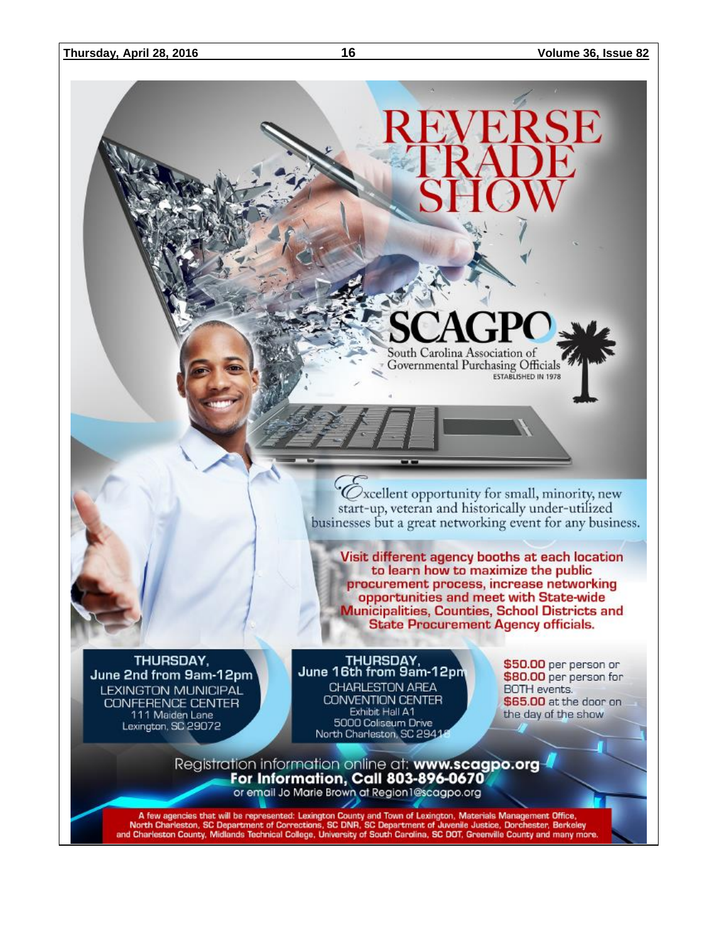